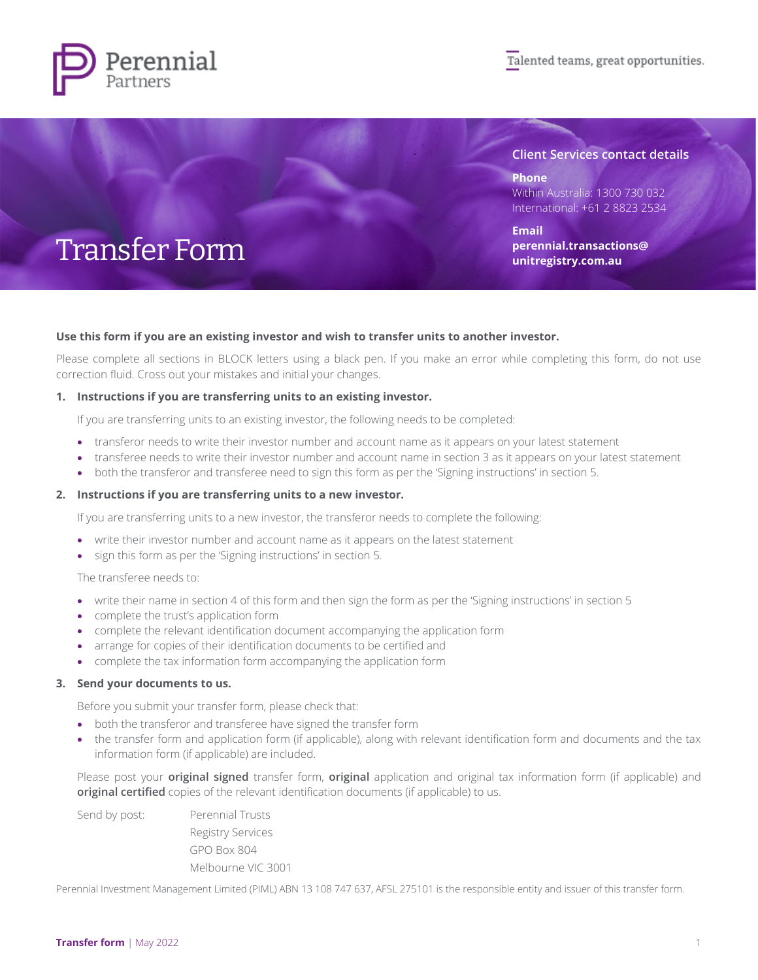

### **Client Services contact details**

**Phone** Within Australia: 1300 730 032 International: +61 2 8823 2534

**Email [perennial.transactions@](mailto:perennial.transactions@unitregistry.com.au) [unitregistry.com.au](mailto:perennial.transactions@unitregistry.com.au)**

# Transfer Form

### **Use this form if you are an existing investor and wish to transfer units to another investor.**

Please complete all sections in BLOCK letters using a black pen. If you make an error while completing this form, do not use correction fluid. Cross out your mistakes and initial your changes.

### **1. Instructions if you are transferring units to an existing investor.**

If you are transferring units to an existing investor, the following needs to be completed:

- transferor needs to write their investor number and account name as it appears on your latest statement
- transferee needs to write their investor number and account name in section 3 as it appears on your latest statement
- both the transferor and transferee need to sign this form as per the 'Signing instructions' in section 5.

#### **2. Instructions if you are transferring units to a new investor.**

If you are transferring units to a new investor, the transferor needs to complete the following:

- write their investor number and account name as it appears on the latest statement
- sign this form as per the 'Signing instructions' in section 5.

The transferee needs to:

- write their name in section 4 of this form and then sign the form as per the 'Signing instructions' in section 5
- complete the trust's application form
- complete the relevant identification document accompanying the application form
- arrange for copies of their identification documents to be certified and
- complete the tax information form accompanying the application form

#### **3. Send your documents to us.**

Before you submit your transfer form, please check that:

- both the transferor and transferee have signed the transfer form
- the transfer form and application form (if applicable), along with relevant identification form and documents and the tax information form (if applicable) are included.

Please post your **original signed** transfer form, **original** application and original tax information form (if applicable) and **original certified** copies of the relevant identification documents (if applicable) to us.

| Send by post: | <b>Perennial Trusts</b>  |
|---------------|--------------------------|
|               | <b>Registry Services</b> |
|               | <b>GPO Box 804</b>       |
|               | Melbourne VIC 3001       |
|               |                          |

Perennial Investment Management Limited (PIML) ABN 13 108 747 637, AFSL 275101 is the responsible entity and issuer of this transfer form.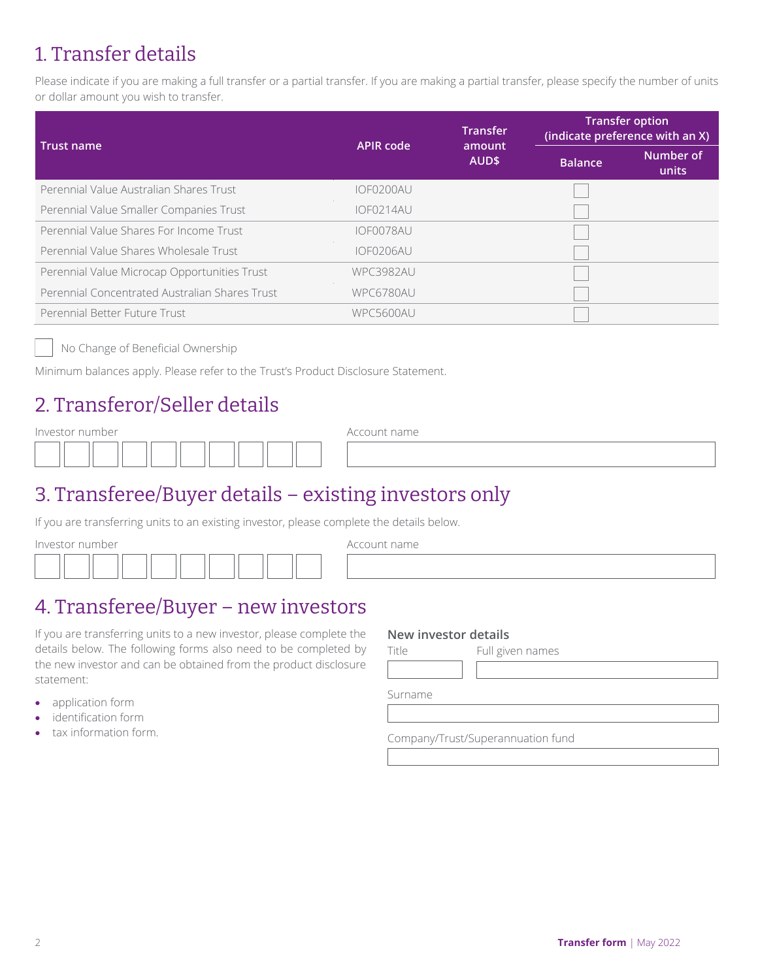### 1. Transfer details

Please indicate if you are making a full transfer or a partial transfer. If you are making a partial transfer, please specify the number of units or dollar amount you wish to transfer.

| Trust name                                     | <b>APIR code</b> | <b>Transfer</b> | <b>Transfer option</b><br>(indicate preference with an X) |                    |  |
|------------------------------------------------|------------------|-----------------|-----------------------------------------------------------|--------------------|--|
|                                                |                  | amount<br>AUD\$ | <b>Balance</b>                                            | Number of<br>units |  |
| Perennial Value Australian Shares Trust        | IOF0200AU        |                 |                                                           |                    |  |
| Perennial Value Smaller Companies Trust        | IOFO214AU        |                 |                                                           |                    |  |
| Perennial Value Shares For Income Trust        | IOF0078AU        |                 |                                                           |                    |  |
| Perennial Value Shares Wholesale Trust         | IOF0206AU        |                 |                                                           |                    |  |
| Perennial Value Microcap Opportunities Trust   | <b>WPC3982AU</b> |                 |                                                           |                    |  |
| Perennial Concentrated Australian Shares Trust | WPC6780AU        |                 |                                                           |                    |  |
| Perennial Better Future Trust                  | WPC5600AU        |                 |                                                           |                    |  |

No Change of Beneficial Ownership

Minimum balances apply. Please refer to the Trust's Product Disclosure Statement.

### 2. Transferor/Seller details

Investor number and a series of the Account name

|  | the contract of the contract of the contract of the |  | the contract of the contract of the contract of the contract of the contract of |  |  |
|--|-----------------------------------------------------|--|---------------------------------------------------------------------------------|--|--|
|  |                                                     |  |                                                                                 |  |  |
|  |                                                     |  |                                                                                 |  |  |

### 3. Transferee/Buyer details – existing investors only

If you are transferring units to an existing investor, please complete the details below.

Investor number and a settlement of the Account name

### 4. Transferee/Buyer – new investors

If you are transferring units to a new investor, please complete the details below. The following forms also need to be completed by the new investor and can be obtained from the product disclosure statement:

- application form
- identification form
- tax information form.

### **New investor details**

Title Full given names

Surname

Company/Trust/Superannuation fund